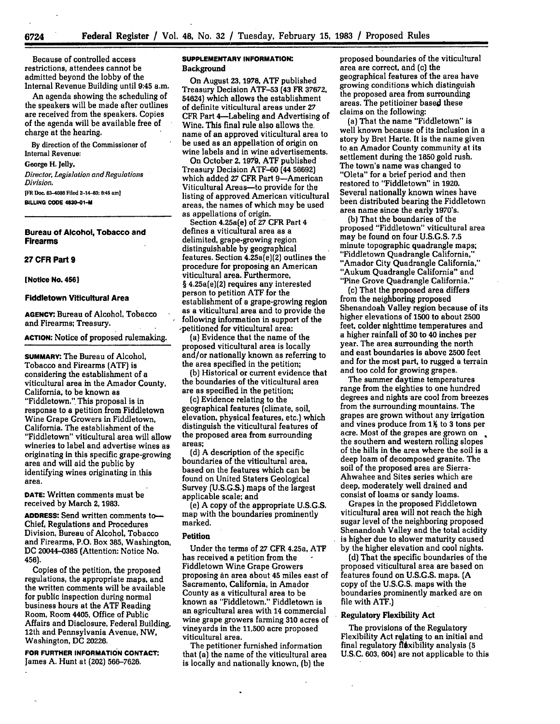Because of controlled access restrictions, attendees cannot be admitted beyond the lobby of the Internal Revenue Building until **9:45** a.m.

An agenda showing the scheduling of the speakers will be made after outlines are received from the speakers. Copies of the agenda will be available free of charge at the hearing.

**By** direction of the Commissioner of Internal Revenue:

#### George H. jelly,

*Director, Legislation and Regulations Division.*

111 **Dec. 83-4088 Filed 2--14--83: 8:45 amJ BILLING CODE 4830-01-M**

**Bureau of Alcohol, Tobacco and Firearms**

#### **27 CFR Part 9**

#### **[Notice No. 4561**

# **Fiddletown Viticultural Area**

**AGENCY:** Bureau **of** Alcohol, Tobacco and Firearms; Treasury.

### **ACTION:** Notice **of** proposed rulemaking.

**SUMMARY:** The Bureau of Alcohol, Tobacco and Firearms **(ATF)** is considering the establishment of a viticultural area in the Amador County, California, to be known as "Fiddletown.". This proposal is in response to a petition from Fiddletown Wine Grape Growers in Fiddletown, California. The establishment of the "Fiddletown" viticultural area will allow wineries to label and advertise wines as originating in this specific grape-growing area and will aid the public by identifying wines originating in this area.

**DATE:** Written comments must be received by March **2,** 1983.

**ADDRESS:** Send written comments to-- Chief, Regulations and Procedures Division, Bureau of Alcohol, Tobacco and Firearms, P.O. Box **385,** Washington, **DC** 20044-0385 (Attention: Notice No. 456).

Copies of the petition, the proposed regulations, the appropriate maps, and the written comments will be available for public inspection during normal business hours at the **ATF** Reading Room, Room 4405, Office of Public Affairs and Disclosure, Federal Building, 12th and Pennsylvania Avenue, NW, Washington, **DC 20226.**

**FOR FURTHER INFORMATION CONTACT:** James **A.** Hunt at **(202) 566-7626.**

# **SUPPLEMENTARY INFORMATION:** Background

On August **23,** 1978, **ATF** published Treasury Decision **ATF-53** (43 FR **37672,** 54624) which allows the establishment of definite viticultural areas under **27** CFR Part 4-Labeling and Advertising of Wine. This fimal rule also allows the. name of an approved viticultural area to be used as an appellation of origin on wine labels and in wine advertisements.

On October **2, 19719, ATF** published Treasury Decision **ATF-60** (44 **56692)** which added **27** CFR Part 9-American Viticultural Areas-to provide for the listing of approved American viticultural areas, the names of which may be used as appellations of origin.

Section 4.25a(e) of **27** CFR Part 4 defines a viticultural area as a delimited, grape-growing region distinguishable **by** geographical features. Section 4.25a(e)(2) outlines the procedure for proposing an American viticultural area. Furthermore, § 4.25a(e)(2) requires any interested person to petition ATF for the establishment of a grape-growing region as a viticultural area and to provide the following information in support of the -petitioned for viticultural area:

(a) Evidence that the name of the proposed viticultural area is locally and/or nationally known as referring to the area specified in the petition;

**(b)** Historical or current evidence that the boundaries of the viticultural area are as specified in the petition;

(c) Evidence relating to the geographical features (climate, soil, elevation, physical features, etc.) which distinguish the viticultural features of the proposed area from surrounding areas;

**(d)** A description of the specific boundaries of the viticultural area, based on the features which can be found on United Staters Geological Survey (U.S.G.S.) maps of the largest applicable scale; and

(e) A copy of the appropriate U.S.G.S. map with the boundaries prominently marked.

### **Petition**

Under the terms of **27** CFR 4.25a, **ATF** has received a petition from the **-** Fiddletown Wine Grape Growers proposing **an** area about 45 miles east of Sacramento, California, in Amador County as a viticultural area to be known as "Fiddletown." Fiddletown is an agricultural area with 14 commercial wine grape growers farming **310** acres of vineyards in the **11,500** acre proposed viticultural area.

The petitioner furnished information that (a) the name of the viticultural area is locally and nationally known, **(b)** the

proposed boundaries of the viticultural area are correct, and (c) the geographical features of the area have growing conditions which distinguish the proposed area from surrounding areas. The petitioiner based these claims on the following:

(a) That the name "Fiddletown" is well known because of its inclusion in a story **by** Bret Harte. It is the name given to an Amador County community at its settlement during the **1850** gold rush. The town's name was changed to "Oleta" for a brief period and then restored to "Fiddletown" in 1920. Several nationally known wines have been distributed bearing the Fiddletown area name since the early 1970's.

**(b)** That the boundaries of the proposed "Fiddletown" viticultural area may be found on four **U.S.G.S. 7.5** minute topographic quadrangle maps; "Fiddletown Quadrangle California," "Amador City Quadrangle California," "Aukum Quadrangle California" and "Pine Grove Quadrangle California."

(c) That the proposed area differs from the neighboring proposed Shenandoah Valley region because of its higher elevations of **1500** to about **2500** feet. colder nighttime temperatures and a higher rainfall of **30** to **40** inches per year. The area surrounding the north and east boundaries is above **2500** feet and for the most part, to rugged a terrain and too cold for growing grapes.

The summer daytime temperatures range from the eighties to one hundred degrees and nights are cool from breezes from the surrounding mountains. The grapes are grown without any irrigation and vines produce from 1<sup> $\frac{1}{2}$ </sup> to 3 tons per acre. Most of the grapes are grown on the southern and western rolling slopes of the hills in the area where the soil is a deep loam of decomposed granite. The soil of the proposed area are Sierra-Ahwahee and Sites series which are deep, moderately well drained and consist of loams or sandy loams.

Grapes in the proposed Fiddletown viticultural area will not reach the high sugar level of the neighboring proposed Shenandoah Valley and the total acidity is higher due to slower maturity caused by the higher elevation and cool nights.

**(d)** That the specific boundaries of the proposed viticultural area are based on features found on U.S.G.S. maps. **(A** copy of the U.S.G.S. maps with the boundaries prominently marked are on file with ATF.)

# Regulatory Flexibility Act

The provisions of the Regulatory Flexibility Act relating to an initial and final regulatory flixibility analysis **(5 U.S.C. 603,** 604) are not applicable to this

*6724*